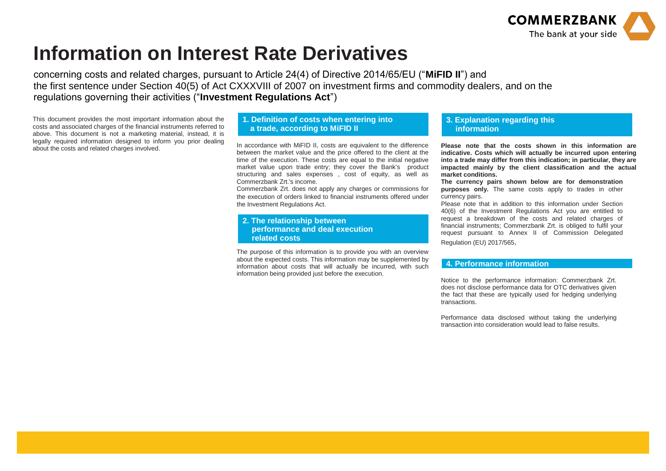

## **Information on Interest Rate Derivatives**

concerning costs and related charges, pursuant to Article 24(4) of Directive 2014/65/EU ("**MiFID II**") and the first sentence under Section 40(5) of Act CXXXVIII of 2007 on investment firms and commodity dealers, and on the regulations governing their activities ("**Investment Regulations Act**")

This document provides the most important information about the costs and associated charges of the financial instruments referred to above. This document is not a marketing material, instead, it is legally required information designed to inform you prior dealing about the costs and related charges involved.

## **1. Definition of costs when entering into a trade, according to MiFID II**

In accordance with MiFID II, costs are equivalent to the difference between the market value and the price offered to the client at the time of the execution. These costs are equal to the initial negative market value upon trade entry; they cover the Bank's product structuring and sales expenses , cost of equity, as well as Commerzbank Zrt.'s income.

Commerzbank Zrt. does not apply any charges or commissions for the execution of orders linked to financial instruments offered under the Investment Regulations Act.

**2. The relationship between performance and deal execution related costs**

The purpose of this information is to provide you with an overview about the expected costs. This information may be supplemented by information about costs that will actually be incurred, with such information being provided just before the execution.

## **3. Explanation regarding this information**

**Please note that the costs shown in this information are indicative. Costs which will actually be incurred upon entering into a trade may differ from this indication; in particular, they are impacted mainly by the client classification and the actual market conditions.**

**The currency pairs shown below are for demonstration purposes only.** The same costs apply to trades in other currency pairs.

Please note that in addition to this information under Section 40(6) of the Investment Regulations Act you are entitled to request a breakdown of the costs and related charges of financial instruments; Commerzbank Zrt. is obliged to fulfil your request pursuant to Annex II of Commission Delegated Regulation (EU) 2017/565.

## **4. Performance information**

Notice to the performance information: Commerzbank Zrt. does not disclose performance data for OTC derivatives given the fact that these are typically used for hedging underlying transactions.

Performance data disclosed without taking the underlying transaction into consideration would lead to false results.